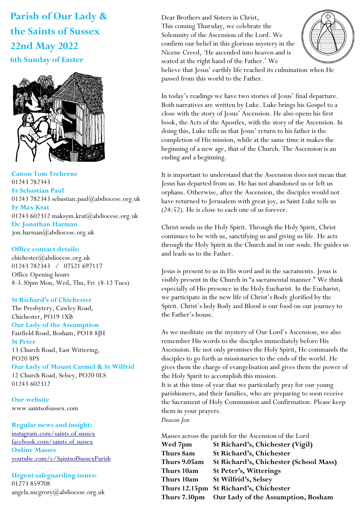# **Parish of Our Lady & the Saints of Sussex 22nd May 2022 6th Sunday of Easter**



**Canon Tom Treherne**  01243 782343 **Fr Sebastian Paul**  01243 782343 sebastian.paul@abdiocese.org.uk **Fr Max Krat**  01243 602312 maksym.krat@abdiocese.org.uk **Dc Jonathan Harman**  [jon.harman@abdiocese.org.uk](mailto:jon.harman@abdiocese.org.uk)

## **Office contact details:**

chichester@abdiocese.org.uk 01243 782343 / 07521 697117 Office Opening hours 8-3.30pm Mon, Wed, Thu, Fri (8-12 Tues)

# **St Richard's of Chichester**

The Presbytery, Cawley Road, Chichester, PO19 1XB

# **Our Lady of the Assumption**

Fairfield Road, Bosham, PO18 8JH **St Peter**  13 Church Road, East Wittering, PO20 8PS

## **Our Lady of Mount Carmel & St Wilfrid**

12 Church Road, Selsey, PO20 0LS 01243 602312

**Our website**  www.saintsofsussex.com

# **Regular news and insight:**

[instagram.com/saints.of.sussex](https://instagram.com/saints.of.sussex) [facebook.com/saints.of.sussex](https://facebook.com/saints.of.sussex) **Online Masses**  <youtube.com/c/SaintsofSussexParish>

# **Urgent safeguarding issues:**  01273 859708 angela.mcgrory@abdiocese.org.uk

몫 Dear Brothers and Sisters in Christ, This coming Thursday, we celebrate the Solemnity of the Ascension of the Lord. We confirm our belief in this glorious mystery in the Nicene Creed, 'He ascended into heaven and is seated at the right hand of the Father.' We believe that Jesus' earthly life reached its culmination when He



passed from this world to the Father.

In today's readings we have two stories of Jesus' final departure. Both narratives are written by Luke. Luke brings his Gospel to a close with the story of Jesus' Ascension. He also opens his first book, the Acts of the Apostles, with the story of the Ascension. In doing this, Luke tells us that Jesus' return to his father is the completion of His mission, while at the same time it makes the beginning of a new age, that of the Church. The Ascension is an ending and a beginning.

It is important to understand that the Ascension does not mean that Jesus has departed from us. He has not abandoned us or left us orphans. Otherwise, after the Ascension, the disciples would not have returned to Jerusalem with great joy, as Saint Luke tells us (24:52). He is close to each one of us forever.

Christ sends us the Holy Spirit. Through the Holy Spirit, Christ continues to be with us, sanctifying us and giving us life. He acts through the Holy Spirit in the Church and in our souls. He guides us and leads us to the Father.

Jesus is present to us in His word and in the sacraments. Jesus is visibly present in the Church in "a sacramental manner." We think especially of His presence in the Holy Eucharist. In the Eucharist, we participate in the new life of Christ's Body glorified by the Spirit. Christ's holy Body and Blood is our food on our journey to the Father's house.

As we meditate on the mystery of Our Lord's Ascension, we also remember His words to the disciples immediately before His Ascension. He not only promises the Holy Spirit, He commands the disciples to go forth as missionaries to the ends of the world. He gives them the charge of evangelisation and gives them the power of the Holy Spirit to accomplish this mission.

It is at this time of year that we particularly pray for our young parishioners, and their families, who are preparing to soon receive the Sacrament of Holy Communion and Confirmation. Please keep them in your prayers.

*Deacon Jon*

Masses across the parish for the Ascension of the Lord **Wed 7pm St Richard's, Chichester (Vigil)**

| Thurs 8am    | St Richard's, Chichester                         |
|--------------|--------------------------------------------------|
| Thurs 9.05am | St Richard's, Chichester (School Mass)           |
| Thurs 10am   | St Peter's, Witterings                           |
| Thurs 10am   | St Wilfrid's, Selsey                             |
|              | Thurs 12.15pm St Richard's, Chichester           |
|              | Thurs 7.30pm  Our Lady of the Assumption, Bosham |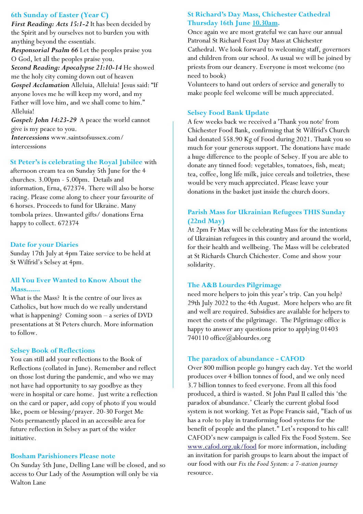# **6th Sunday of Easter (Year C)**

*First Reading: Acts 15:1-2* It has been decided by the Spirit and by ourselves not to burden you with anything beyond the essentials.

*Responsorial Psalm 66* Let the peoples praise you O God, let all the peoples praise you.

*Second Reading: Apocalypse 21:10-14* He showed me the holy city coming down out of heaven *Gospel Acclamation* Alleluia, Alleluia! Jesus said: "If anyone loves me he will keep my word, and my Father will love him, and we shall come to him." Alleluia!

*Gospel: John 14:23-29* A peace the world cannot give is my peace to you.

*Intercessions* www.saintsofsussex.com/ intercessions

## **St Peter's is celebrating the Royal Jubilee** with

afternoon cream tea on Sunday 5th June for the 4 churches. 3.00pm - 5.00pm. Details and information, Erna, 672374. There will also be horse racing. Please come along to cheer your favourite of 6 horses. Proceeds to fund for Ukraine. Many tombola prizes. Unwanted gifts/ donations Erna happy to collect. 672374

#### **Date for your Diaries**

Sunday 17th July at 4pm Taize service to be held at St Wilfrid's Selsey at 4pm.

# **All You Ever Wanted to Know About the Mass.......**

What is the Mass? It is the centre of our lives as Catholics, but how much do we really understand what is happening? Coming soon – a series of DVD presentations at St Peters church. More information to follow.

#### **Selsey Book of Reflections**

You can still add your reflections to the Book of Reflections (collated in June). Remember and reflect on those lost during the pandemic, and who we may not have had opportunity to say goodbye as they were in hospital or care home. Just write a reflection on the card or paper, add copy of photo if you would like, poem or blessing/prayer. 20-30 Forget Me Nots permanently placed in an accessible area for future reflection in Selsey as part of the wider initiative.

#### **Bosham Parishioners Please note**

On Sunday 5th June, Delling Lane will be closed, and so access to Our Lady of the Assumption will only be via Walton Lane

# **St Richard's Day Mass, Chichester Cathedral Thursday 16th June 10.30am.**

Once again we are most grateful we can have our annual Patronal St Richard Feast Day Mass at Chichester Cathedral. We look forward to welcoming staff, governors and children from our school. As usual we will be joined by priests from our deanery. Everyone is most welcome (no need to book)

Volunteers to hand out orders of service and generally to make people feel welcome will be much appreciated.

# **Selsey Food Bank Update**

A few weeks back we received a 'Thank you note' from Chichester Food Bank, confirming that St Wilfrid's Church had donated 558.90 Kg of Food during 2021. Thank you so much for your generous support. The donations have made a huge difference to the people of Selsey. If you are able to donate any tinned food: vegetables, tomatoes, fish, meat; tea, coffee, long life milk, juice cereals and toiletries, these would be very much appreciated. Please leave your donations in the basket just inside the church doors.

# **Parish Mass for Ukrainian Refugees THIS Sunday (22nd May)**

At 2pm Fr Max will be celebrating Mass for the intentions of Ukrainian refugees in this country and around the world, for their health and wellbeing. The Mass will be celebrated at St Richards Church Chichester. Come and show your solidarity.

# **The A&B Lourdes Pilgrimage**

need more helpers to join this year's trip. Can you help? 29th July 2022 to the 4th August. More helpers who are fit and well are required. Subsidies are available for helpers to meet the costs of the pilgrimage. The Pilgrimage office is happy to answer any questions prior to applying 01403 740110 office@ablourdes.org

#### **The paradox of abundance - CAFOD**

Over 800 million people go hungry each day. Yet the world produces over 4 billion tonnes of food, and we only need 3.7 billion tonnes to feed everyone. From all this food produced, a third is wasted. St John Paul II called this 'the paradox of abundance.' Clearly the current global food system is not working. Yet as Pope Francis said, "Each of us has a role to play in transforming food systems for the benefit of people and the planet." Let's respond to his call! CAFOD's new campaign is called Fix the Food System. See [www.cafod.org.uk/food](https://eur02.safelinks.protection.outlook.com/?url=http%3A%2F%2Fwww.cafod.org.uk%2Ffood&data=05%7C01%7Cchichester%40abdiocese.org.uk%7C6be6b5a54e8c4b4bc8b508da327c18f2%7C2bf5dbc217ef4efca1c9ab2dc4edefd0%7C0%7C0%7C637877805824486505%7CUnknown%7CTWFpbGZsb3d8ey) for more information, including an invitation for parish groups to learn about the impact of our food with our *Fix the Food System: a 7-station journey* resource.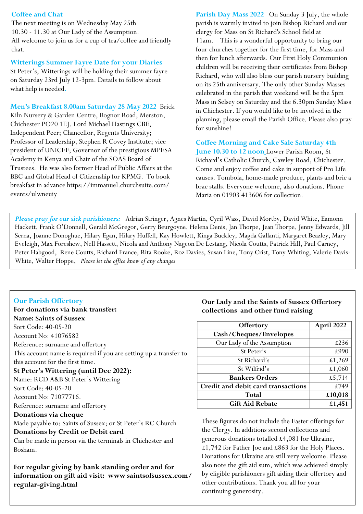# **Coffee and Chat**

The next meeting is on Wednesday May 25th 10.30 - 11.30 at Our Lady of the Assumption. All welcome to join us for a cup of tea/coffee and friendly chat.

#### **Witterings Summer Fayre Date for your Diaries**

St Peter's, Witterings will be holding their summer fayre on Saturday 23rd July 12-3pm. Details to follow about what help is needed**.** 

**Men's Breakfast 8.00am Saturday 28 May 2022** Brick Kiln Nursery & Garden Centre, Bognor Road, Merston, Chichester PO20 1EJ. Lord Michael Hastings CBE, Independent Peer; Chancellor, Regents University; Professor of Leadership, Stephen R Covey Institute; vice president of UNICEF; Governor of the prestigious MPESA Academy in Kenya and Chair of the SOAS Board of Trustees. He was also former Head of Public Affairs at the BBC and Global Head of Citizenship for KPMG. To book breakfast in advance https://immanuel.churchsuite.com/ events/ulwneuiy

**Parish Day Mass 2022** On Sunday 3 July, the whole parish is warmly invited to join Bishop Richard and our clergy for Mass on St Richard's School field at 11am. This is a wonderful opportunity to bring our four churches together for the first time, for Mass and then for lunch afterwards. Our First Holy Communion children will be receiving their certificates from Bishop Richard, who will also bless our parish nursery building on its 25th anniversary. The only other Sunday Masses celebrated in the parish that weekend will be the 5pm Mass in Selsey on Saturday and the 6.30pm Sunday Mass in Chichester. If you would like to be involved in the planning, please email the Parish Office. Please also pray for sunshine!

**Coffee Morning and Cake Sale Saturday 4th June 10.30 to 12 noon** Lower Parish Room, St Richard's Catholic Church, Cawley Road, Chichester. Come and enjoy coffee and cake in support of Pro Life causes. Tombola, home-made produce, plants and bric a brac stalls. Everyone welcome, also donations. Phone Maria on 01903 413606 for collection.

*Please pray for our sick parishioners:* Adrian Stringer, Agnes Martin, Cyril Wass, David Mortby, David White, Eamonn Hackett, Frank O'Donnell, Gerald McGregor, Gerry Beurgoyne, Helena Denis, Jan Thorpe, Jean Thorpe, Jenny Edwards, Jill Serna, Joanne Donoghue, Hilary Egan, Hilary Huffell, Kay Howlett, Kinga Buckley, Magda Gallanti, Margaret Beazley, Mary Eveleigh, Max Foreshew, Nell Hassett, Nicola and Anthony Nageon De Lestang, Nicola Coutts, Patrick Hill, Paul Carney, Peter Habgood, Rene Coutts, Richard France, Rita Rooke, Roz Davies, Susan Line, Tony Crist, Tony Whiting, Valerie Davis-White, Walter Hoppe, *Please let the office know of any changes* 

# **Our Parish Offertory**

| For donations via bank transfer:                                  |
|-------------------------------------------------------------------|
| <b>Name: Saints of Sussex</b>                                     |
| Sort Code: 40-05-20                                               |
| Account No: 41076582                                              |
| Reference: surname and offertory                                  |
| This account name is required if you are setting up a transfer to |
| this account for the first time.                                  |
| St Peter's Wittering (until Dec 2022):                            |
| Name: RCD A&B St Peter's Wittering                                |
| Sort Code: 40-05-20                                               |
| Account No: 71077716.                                             |
| Reference: surname and offertory                                  |
| Donations via cheque                                              |
| Made payable to: Saints of Sussex; or St Peter's RC Church        |
| Donations by Credit or Debit card                                 |
| Can be made in person via the terminals in Chichester and         |
| Bosham.                                                           |
| For regular giving by bank standing order and for                 |

**information on gift aid visit: www saintsofsussex.com/ regular-giving.html**

# **Our Lady and the Saints of Sussex Offertory collections and other fund raising**

| Offertory                          | April 2022 |
|------------------------------------|------------|
| Cash/Cheques/Envelopes             |            |
| Our Lady of the Assumption         | £236       |
| St Peter's                         | £990       |
| St Richard's                       | £1,269     |
| St Wilfrid's                       | £1,060     |
| <b>Bankers Orders</b>              | £5,714     |
| Credit and debit card transactions | £749       |
| Total                              | £10,018    |
| <b>Gift Aid Rebate</b>             | £1,451     |

These figures do not include the Easter offerings for the Clergy. In additions second collections and generous donations totalled £4,081 for Ukraine, £1,742 for Father Joe and £863 for the Holy Places. Donations for Ukraine are still very welcome. Please also note the gift aid sum, which was achieved simply by eligible parishioners gift aiding their offertory and other contributions. Thank you all for your continuing generosity.